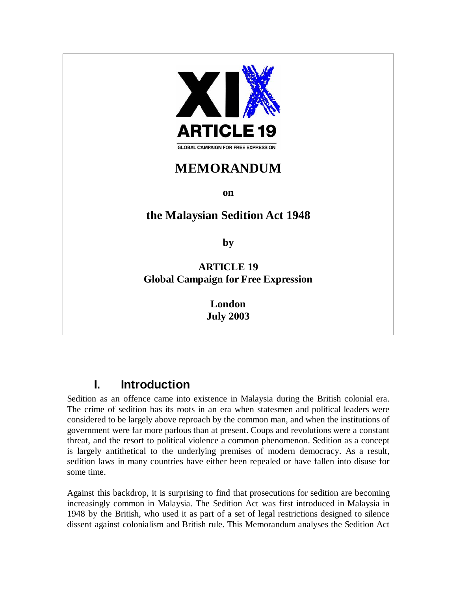

# **MEMORANDUM**

**on**

## **the Malaysian Sedition Act 1948**

**by**

### **ARTICLE 19 Global Campaign for Free Expression**

**London July 2003** 

# **I. Introduction**

Sedition as an offence came into existence in Malaysia during the British colonial era. The crime of sedition has its roots in an era when statesmen and political leaders were considered to be largely above reproach by the common man, and when the institutions of government were far more parlous than at present. Coups and revolutions were a constant threat, and the resort to political violence a common phenomenon. Sedition as a concept is largely antithetical to the underlying premises of modern democracy. As a result, sedition laws in many countries have either been repealed or have fallen into disuse for some time.

Against this backdrop, it is surprising to find that prosecutions for sedition are becoming increasingly common in Malaysia. The Sedition Act was first introduced in Malaysia in 1948 by the British, who used it as part of a set of legal restrictions designed to silence dissent against colonialism and British rule. This Memorandum analyses the Sedition Act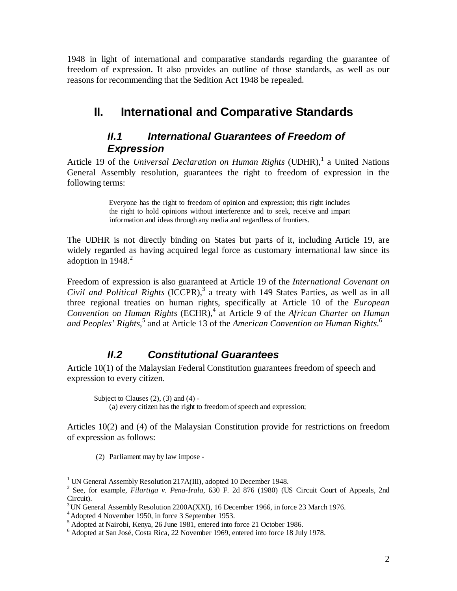1948 in light of international and comparative standards regarding the guarantee of freedom of expression. It also provides an outline of those standards, as well as our reasons for recommending that the Sedition Act 1948 be repealed.

## **II. International and Comparative Standards**

### *II.1 International Guarantees of Freedom of Expression*

Article [1](#page-1-0)9 of the *Universal Declaration on Human Rights* (UDHR),<sup>1</sup> a United Nations General Assembly resolution, guarantees the right to freedom of expression in the following terms:

> Everyone has the right to freedom of opinion and expression; this right includes the right to hold opinions without interference and to seek, receive and impart information and ideas through any media and regardless of frontiers.

The UDHR is not directly binding on States but parts of it, including Article 19, are widely regarded as having acquired legal force as customary international law since its adoption in  $1948.<sup>2</sup>$ 

Freedom of expression is also guaranteed at Article 19 of the *International Covenant on Civil and Political Rights* (ICCPR),<sup>[3](#page-1-2)</sup> a treaty with 149 States Parties, as well as in all three regional treaties on human rights, specifically at Article 10 of the *European Convention on Human Rights* (ECHR),<sup>4</sup> at Article 9 of the *African Charter on Human* and Peoples' Rights,<sup>[5](#page-1-4)</sup> and at Article 13 of the *American Convention on Human Rights*.<sup>[6](#page-1-5)</sup>

## *II.2 Constitutional Guarantees*

Article 10(1) of the Malaysian Federal Constitution guarantees freedom of speech and expression to every citizen.

Subject to Clauses  $(2)$ ,  $(3)$  and  $(4)$  -(a) every citizen has the right to freedom of speech and expression;

Articles 10(2) and (4) of the Malaysian Constitution provide for restrictions on freedom of expression as follows:

(2) Parliament may by law impose -

<span id="page-1-0"></span><sup>&</sup>lt;sup>1</sup> UN General Assembly Resolution 217A(III), adopted 10 December 1948.

<span id="page-1-1"></span><sup>&</sup>lt;sup>2</sup> See, for example, *Filartiga v. Pena-Irala*, 630 F. 2d 876 (1980) (US Circuit Court of Appeals, 2nd

<span id="page-1-2"></span>Circuit).<br><sup>3</sup> UN General Assembly Resolution 2200A(XXI), 16 December 1966, in force 23 March 1976.<br><sup>4</sup> Adopted 4 November 1950, in force 3 September 1953.

<span id="page-1-3"></span>

<span id="page-1-4"></span>Adopted 4 November 1750, in love 3 September 1750.<br>
S Adopted at Nairobi, Kenya, 26 June 1981, entered into force 21 October 1986.

<span id="page-1-5"></span>Adopted at San José, Costa Rica, 22 November 1969, entered into force 18 July 1978.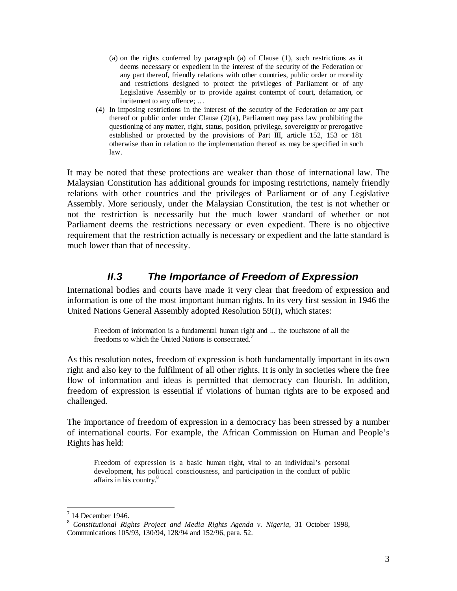- (a) on the rights conferred by paragraph (a) of Clause (1), such restrictions as it deems necessary or expedient in the interest of the security of the Federation or any part thereof, friendly relations with other countries, public order or morality and restrictions designed to protect the privileges of Parliament or of any Legislative Assembly or to provide against contempt of court, defamation, or incitement to any offence; …
- (4) In imposing restrictions in the interest of the security of the Federation or any part thereof or public order under Clause  $(2)(a)$ , Parliament may pass law prohibiting the questioning of any matter, right, status, position, privilege, sovereignty or prerogative established or protected by the provisions of Part III, article 152, 153 or 181 otherwise than in relation to the implementation thereof as may be specified in such law.

It may be noted that these protections are weaker than those of international law. The Malaysian Constitution has additional grounds for imposing restrictions, namely friendly relations with other countries and the privileges of Parliament or of any Legislative Assembly. More seriously, under the Malaysian Constitution, the test is not whether or not the restriction is necessarily but the much lower standard of whether or not Parliament deems the restrictions necessary or even expedient. There is no objective requirement that the restriction actually is necessary or expedient and the latte standard is much lower than that of necessity.

### *II.3 The Importance of Freedom of Expression*

International bodies and courts have made it very clear that freedom of expression and information is one of the most important human rights. In its very first session in 1946 the United Nations General Assembly adopted Resolution 59(I), which states:

Freedom of information is a fundamental human right and ... the touchstone of all the freedoms to which the United Nations is consecrated.<sup>[7](#page-2-0)</sup>

As this resolution notes, freedom of expression is both fundamentally important in its own right and also key to the fulfilment of all other rights. It is only in societies where the free flow of information and ideas is permitted that democracy can flourish. In addition, freedom of expression is essential if violations of human rights are to be exposed and challenged.

The importance of freedom of expression in a democracy has been stressed by a number of international courts. For example, the African Commission on Human and People's Rights has held:

Freedom of expression is a basic human right, vital to an individual's personal development, his political consciousness, and participation in the conduct of public affairs in his country. [8](#page-2-1)

<span id="page-2-0"></span> $7$  14 December 1946.

<span id="page-2-1"></span><sup>&</sup>lt;sup>8</sup> Constitutional Rights Project and Media Rights Agenda v. Nigeria, 31 October 1998, Communications 105/93, 130/94, 128/94 and 152/96, para. 52.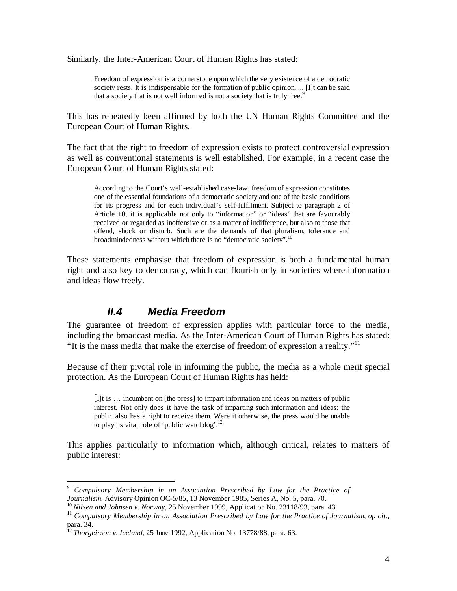Similarly, the Inter-American Court of Human Rights has stated:

Freedom of expression is a cornerstone upon which the very existence of a democratic society rests. It is indispensable for the formation of public opinion. ... [I]t can be said that a society that is not well informed is not a society that is truly free.<sup>9</sup>

This has repeatedly been affirmed by both the UN Human Rights Committee and the European Court of Human Rights.

The fact that the right to freedom of expression exists to protect controversial expression as well as conventional statements is well established. For example, in a recent case the European Court of Human Rights stated:

According to the Court's well-established case-law, freedom of expression constitutes one of the essential foundations of a democratic society and one of the basic conditions for its progress and for each individual's self-fulfilment. Subject to paragraph 2 of Article 10, it is applicable not only to "information" or "ideas" that are favourably received or regarded as inoffensive or as a matter of indifference, but also to those that offend, shock or disturb. Such are the demands of that pluralism, tolerance and broadmindedness without which there is no "democratic society".<sup>[10](#page-3-1)</sup>

These statements emphasise that freedom of expression is both a fundamental human right and also key to democracy, which can flourish only in societies where information and ideas flow freely.

#### *II.4 Media Freedom*

The guarantee of freedom of expression applies with particular force to the media, including the broadcast media. As the Inter-American Court of Human Rights has stated: "It is the mass media that make the exercise of freedom of expression a reality."<sup>11</sup>

Because of their pivotal role in informing the public, the media as a whole merit special protection. As the European Court of Human Rights has held:

[I]t is … incumbent on [the press] to impart information and ideas on matters of public interest. Not only does it have the task of imparting such information and ideas: the public also has a right to receive them. Were it otherwise, the press would be unable to play its vital role of 'public watchdog'.<sup>[12](#page-3-3)</sup>

This applies particularly to information which, although critical, relates to matters of public interest:

<span id="page-3-0"></span><sup>9</sup> *Compulsory Membership in an Association Prescribed by Law for the Practice of*

<span id="page-3-2"></span><span id="page-3-1"></span>

<sup>&</sup>lt;sup>10</sup> Nilsen and Johnsen v. Norway, 25 November 1999, Application No. 23118/93, para. 43.<br><sup>11</sup> Compulsory Membership in an Association Prescribed by Law for the Practice of Journalism, op cit., para. 34. 12 *Thorgeirson v. Iceland*, 25 June 1992, Application No. 13778/88, para. 63.

<span id="page-3-3"></span>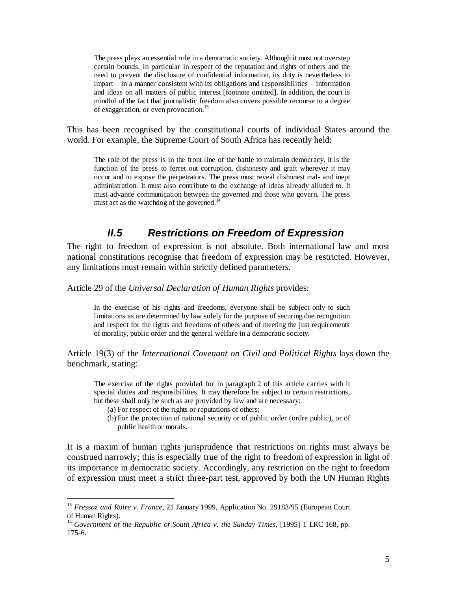The press plays an essential role in a democratic society. Although it must not overstep certain bounds, in particular in respect of the reputation and rights of others and the need to prevent the disclosure of confidential information, its duty is nevertheless to impart – in a manner consistent with its obligations and responsibilities – information and ideas on all matters of public interest [footnote omitted]. In addition, the court is mindful of the fact that journalistic freedom also covers possible recourse to a degree of exaggeration, or even provocation.<sup>[13](#page-4-0)</sup>

This has been recognised by the constitutional courts of individual States around the world. For example, the Supreme Court of South Africa has recently held:

The role of the press is in the front line of the battle to maintain democracy. It is the function of the press to ferret out corruption, dishonesty and graft wherever it may occur and to expose the perpetrators. The press must reveal dishonest mal- and inept administration. It must also contribute to the exchange of ideas already alluded to. It must advance communication between the governed and those who govern. The press must act as the watchdog of the governed.<sup>[14](#page-4-1)</sup>

#### *II.5 Restrictions on Freedom of Expression*

The right to freedom of expression is not absolute. Both international law and most national constitutions recognise that freedom of expression may be restricted. However, any limitations must remain within strictly defined parameters.

Article 29 of the *Universal Declaration of Human Rights* provides:

In the exercise of his rights and freedoms, everyone shall be subject only to such limitations as are determined by law solely for the purpose of securing due recognition and respect for the rights and freedoms of others and of meeting the just requirements of morality, public order and the general welfare in a democratic society.

Article 19(3) of the *International Covenant on Civil and Political Rights* lays down the benchmark, stating:

The exercise of the rights provided for in paragraph 2 of this article carries with it special duties and responsibilities. It may therefore be subject to certain restrictions, but these shall only be such as are provided by law and are necessary:

(a) For respect of the rights or reputations of others;

 $\overline{a}$ 

(b) For the protection of national security or of public order (ordre public), or of public health or morals.

It is a maxim of human rights jurisprudence that restrictions on rights must always be construed narrowly; this is especially true of the right to freedom of expression in light of its importance in democratic society. Accordingly, any restriction on the right to freedom of expression must meet a strict three-part test, approved by both the UN Human Rights

<span id="page-4-0"></span><sup>13</sup> *Fressoz and Roire v. France*, 21 January 1999, Application No. 29183/95 (European Court of Human Rights). <sup>14</sup> *Government of the Republic of South Africa v. the Sunday Times*, [1995] 1 LRC 168, pp.

<span id="page-4-1"></span><sup>175-6.</sup>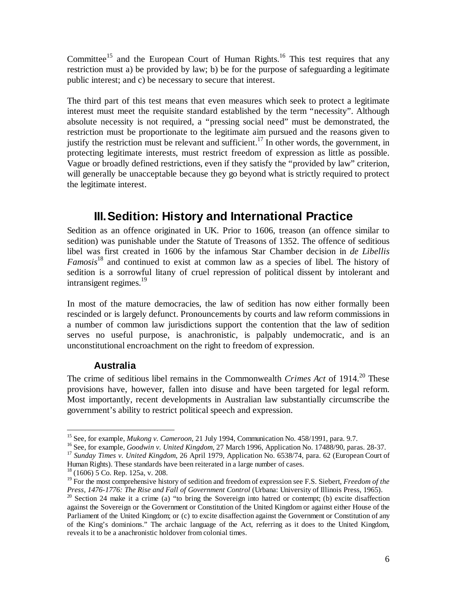Committee<sup>15</sup> and the European Court of Human Rights.<sup>16</sup> This test requires that any restriction must a) be provided by law; b) be for the purpose of safeguarding a legitimate public interest; and c) be necessary to secure that interest.

The third part of this test means that even measures which seek to protect a legitimate interest must meet the requisite standard established by the term "necessity". Although absolute necessity is not required, a "pressing social need" must be demonstrated, the restriction must be proportionate to the legitimate aim pursued and the reasons given to justify the restriction must be relevant and sufficient.<sup>17</sup> In other words, the government, in protecting legitimate interests, must restrict freedom of expression as little as possible. Vague or broadly defined restrictions, even if they satisfy the "provided by law" criterion, will generally be unacceptable because they go beyond what is strictly required to protect the legitimate interest.

## **III.Sedition: History and International Practice**

Sedition as an offence originated in UK. Prior to 1606, treason (an offence similar to sedition) was punishable under the Statute of Treasons of 1352. The offence of seditious libel was first created in 1606 by the infamous Star Chamber decision in *de Libellis Famosis* [18](#page-5-3) and continued to exist at common law as a species of libel. The history of sedition is a sorrowful litany of cruel repression of political dissent by intolerant and intransigent regimes. [19](#page-5-4)

In most of the mature democracies, the law of sedition has now either formally been rescinded or is largely defunct. Pronouncements by courts and law reform commissions in a number of common law jurisdictions support the contention that the law of sedition serves no useful purpose, is anachronistic, is palpably undemocratic, and is an unconstitutional encroachment on the right to freedom of expression.

#### **Australia**

The crime of seditious libel remains in the Commonwealth *Crimes Act* of 1914.<sup>20</sup> These provisions have, however, fallen into disuse and have been targeted for legal reform. Most importantly, recent developments in Australian law substantially circumscribe the government's ability to restrict political speech and expression.

1

<span id="page-5-1"></span><span id="page-5-0"></span>

<sup>&</sup>lt;sup>15</sup> See, for example, *Mukong v. Cameroon*, 21 July 1994, Communication No. 458/1991, para. 9.7.<br><sup>16</sup> See, for example, *Goodwin v. United Kingdom*, 27 March 1996, Application No. 17488/90, paras. 28-37.<br><sup>17</sup> Sunday Time

<span id="page-5-2"></span>Human Rights). These standards have been reiterated in a large number of cases. <sup>18</sup> (1606) 5 Co. Rep. 125a, v. 208.

<span id="page-5-3"></span>

<span id="page-5-4"></span><sup>&</sup>lt;sup>19</sup> For the most comprehensive history of sedition and freedom of expression see F.S. Siebert, *Freedom of the Press*, 1476-1776: *The Rise and Fall of Government Control* (Urbana: University of Illinois Press, 1965).

<span id="page-5-5"></span><sup>&</sup>lt;sup>20</sup> Section 24 make it a crime (a) "to bring the Sovereign into hatred or contempt; (b) excite disaffection against the Sovereign or the Government or Constitution of the United Kingdom or against either House of the Parliament of the United Kingdom; or (c) to excite disaffection against the Government or Constitution of any of the King's dominions." The archaic language of the Act, referring as it does to the United Kingdom, reveals it to be a anachronistic holdover from colonial times.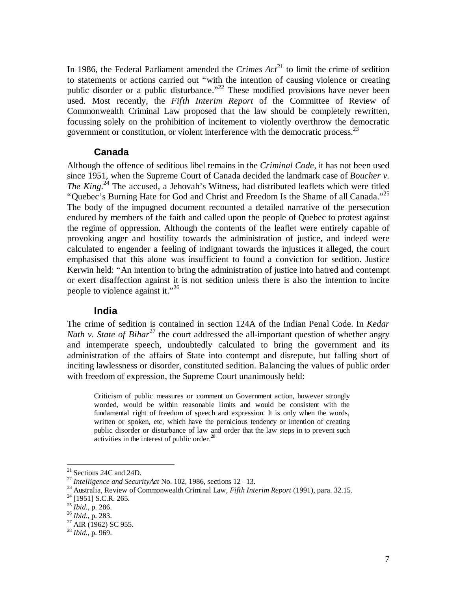In 1986, the Federal Parliament amended the *Crimes Act* [21](#page-6-0) to limit the crime of sedition to statements or actions carried out "with the intention of causing violence or creating public disorder or a public disturbance."<sup>22</sup> These modified provisions have never been used. Most recently, the *Fifth Interim Report* of the Committee of Review of Commonwealth Criminal Law proposed that the law should be completely rewritten, focussing solely on the prohibition of incitement to violently overthrow the democratic government or constitution, or violent interference with the democratic process. [23](#page-6-2) 

#### **Canada**

Although the offence of seditious libel remains in the *Criminal Code*, it has not been used since 1951, when the Supreme Court of Canada decided the landmark case of *Boucher v. The King*. [24](#page-6-3) The accused, a Jehovah's Witness, had distributed leaflets which were titled "Quebec's Burning Hate for God and Christ and Freedom Is the Shame of all Canada."<sup>[25](#page-6-4)</sup> The body of the impugned document recounted a detailed narrative of the persecution endured by members of the faith and called upon the people of Quebec to protest against the regime of oppression. Although the contents of the leaflet were entirely capable of provoking anger and hostility towards the administration of justice, and indeed were calculated to engender a feeling of indignant towards the injustices it alleged, the court emphasised that this alone was insufficient to found a conviction for sedition. Justice Kerwin held: "An intention to bring the administration of justice into hatred and contempt or exert disaffection against it is not sedition unless there is also the intention to incite people to violence against it."<sup>26</sup>

#### **India**

The crime of sedition is contained in section 124A of the Indian Penal Code. In *Kedar Nath v. State of Bihar*<sup>[27](#page-6-6)</sup> the court addressed the all-important question of whether angry and intemperate speech, undoubtedly calculated to bring the government and its administration of the affairs of State into contempt and disrepute, but falling short of inciting lawlessness or disorder, constituted sedition. Balancing the values of public order with freedom of expression, the Supreme Court unanimously held:

Criticism of public measures or comment on Government action, however strongly worded, would be within reasonable limits and would be consistent with the fundamental right of freedom of speech and expression. It is only when the words, written or spoken, etc, which have the pernicious tendency or intention of creating public disorder or disturbance of law and order that the law steps in to prevent such activities in the interest of public order.<sup>[28](#page-6-7)</sup>

<span id="page-6-0"></span> $21$  Sections 24C and 24D.

<span id="page-6-2"></span><span id="page-6-1"></span>

<sup>&</sup>lt;sup>22</sup> Intelligence and SecurityAct No. 102, 1986, sections 12 –13.<br><sup>23</sup> Australia, Review of Commonwealth Criminal Law, *Fifth Interim Report* (1991), para. 32.15.<br><sup>24</sup> [1951] S.C.R. 265.<br><sup>25</sup> *Ibid.*, p. 286.<br><sup>26</sup> *Ibid.* 

<span id="page-6-3"></span>

<span id="page-6-4"></span>

<span id="page-6-5"></span>

<span id="page-6-6"></span>

<span id="page-6-7"></span>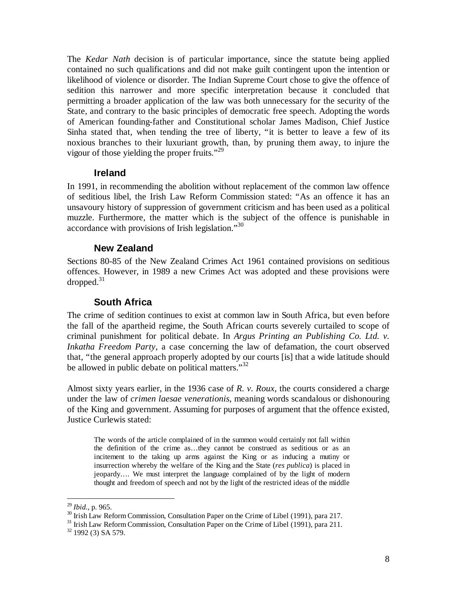The *Kedar Nath* decision is of particular importance, since the statute being applied contained no such qualifications and did not make guilt contingent upon the intention or likelihood of violence or disorder. The Indian Supreme Court chose to give the offence of sedition this narrower and more specific interpretation because it concluded that permitting a broader application of the law was both unnecessary for the security of the State, and contrary to the basic principles of democratic free speech. Adopting the words of American founding-father and Constitutional scholar James Madison, Chief Justice Sinha stated that, when tending the tree of liberty, "it is better to leave a few of its noxious branches to their luxuriant growth, than, by pruning them away, to injure the vigour of those yielding the proper fruits."<sup>29</sup>

#### **Ireland**

In 1991, in recommending the abolition without replacement of the common law offence of seditious libel, the Irish Law Reform Commission stated: "As an offence it has an unsavoury history of suppression of government criticism and has been used as a political muzzle. Furthermore, the matter which is the subject of the offence is punishable in accordance with provisions of Irish legislation."<sup>[30](#page-7-1)</sup>

#### **New Zealand**

Sections 80-85 of the New Zealand Crimes Act 1961 contained provisions on seditious offences. However, in 1989 a new Crimes Act was adopted and these provisions were dropped. $31$ 

#### **South Africa**

The crime of sedition continues to exist at common law in South Africa, but even before the fall of the apartheid regime, the South African courts severely curtailed to scope of criminal punishment for political debate. In *Argus Printing an Publishing Co. Ltd. v. Inkatha Freedom Party*, a case concerning the law of defamation, the court observed that, "the general approach properly adopted by our courts [is] that a wide latitude should be allowed in public debate on political matters. $32$ 

Almost sixty years earlier, in the 1936 case of *R. v. Roux*, the courts considered a charge under the law of *crimen laesae venerationis*, meaning words scandalous or dishonouring of the King and government. Assuming for purposes of argument that the offence existed, Justice Curlewis stated:

The words of the article complained of in the summon would certainly not fall within the definition of the crime as…they cannot be construed as seditious or as an incitement to the taking up arms against the King or as inducing a mutiny or insurrection whereby the welfare of the King and the State (*res publica*) is placed in jeopardy…. We must interpret the language complained of by the light of modern thought and freedom of speech and not by the light of the restricted ideas of the middle

<span id="page-7-0"></span>

<span id="page-7-2"></span><span id="page-7-1"></span>

<sup>&</sup>lt;sup>29</sup> *Ibid.*, p. 965.<br><sup>30</sup> Irish Law Reform Commission, Consultation Paper on the Crime of Libel (1991), para 217.<br><sup>31</sup> Irish Law Reform Commission, Consultation Paper on the Crime of Libel (1991), para 211.<br><sup>32</sup> 1992 (3)

<span id="page-7-3"></span>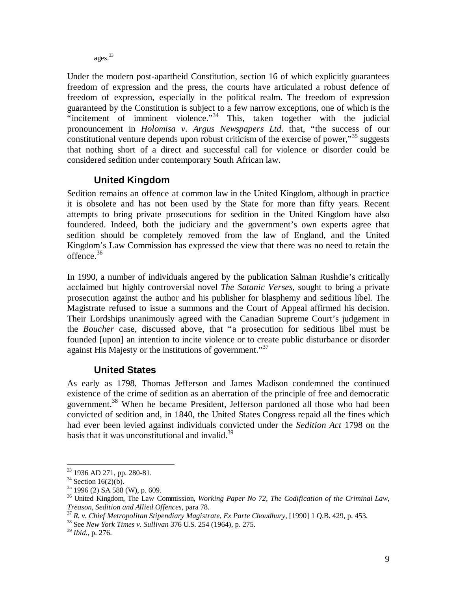ages.[33](#page-8-0)

Under the modern post-apartheid Constitution, section 16 of which explicitly guarantees freedom of expression and the press, the courts have articulated a robust defence of freedom of expression, especially in the political realm. The freedom of expression guaranteed by the Constitution is subject to a few narrow exceptions, one of which is the "incitement of imminent violence."<sup>34</sup> This, taken together with the judicial pronouncement in *Holomisa v. Argu[s N](#page-8-1)ewspapers Ltd*. that, "the success of our constitutional venture depends upon robust criticism of the exercise of power,<sup>35</sup> suggests that nothing short of a direct and successful call for violence or disorde[r c](#page-8-2)ould be considered sedition under contemporary South African law.

### **United Kingdom**

Sedition remains an offence at common law in the United Kingdom, although in practice it is obsolete and has not been used by the State for more than fifty years. Recent attempts to bring private prosecutions for sedition in the United Kingdom have also foundered. Indeed, both the judiciary and the government's own experts agree that sedition should be completely removed from the law of England, and the United Kingdom's Law Commission has expressed the view that there was no need to retain the offence. [36](#page-8-3)

In 1990, a number of individuals angered by the publication Salman Rushdie's critically acclaimed but highly controversial novel *The Satanic Verses*, sought to bring a private prosecution against the author and his publisher for blasphemy and seditious libel. The Magistrate refused to issue a summons and the Court of Appeal affirmed his decision. Their Lordships unanimously agreed with the Canadian Supreme Court's judgement in the *Boucher* case, discussed above, that "a prosecution for seditious libel must be founded [upon] an intention to incite violence or to create public disturbance or disorder against His Majesty or the institutions of government."<sup>[37](#page-8-4)</sup>

### **United States**

As early as 1798, Thomas Jefferson and James Madison condemned the continued existence of the crime of sedition as an aberration of the principle of free and democratic government. [38](#page-8-5) When he became President, Jefferson pardoned all those who had been convicted of sedition and, in 1840, the United States Congress repaid all the fines which had ever been levied against individuals convicted under the *Sedition Act* 1798 on the basis that it was unconstitutional and invalid.<sup>[39](#page-8-6)</sup>

<span id="page-8-0"></span>

<span id="page-8-1"></span>

<span id="page-8-3"></span><span id="page-8-2"></span>

<sup>&</sup>lt;sup>33</sup> 1936 AD 271, pp. 280-81.<br><sup>34</sup> Section 16(2)(b).<br><sup>35</sup> 1996 (2) SA 588 (W), p. 609.<br><sup>36</sup> United Kingdom, The Law Commission, *Working Paper No 72, The Codification of the Criminal Law,*<br>*Treason, Sedition and Allied Off* 

<span id="page-8-4"></span><sup>&</sup>lt;sup>37</sup> R. v. Chief Metropolitan Stipendiary Magistrate, Ex Parte Choudhury, [1990] 1 Q.B. 429, p. 453.<br><sup>38</sup> See New York Times v. Sullivan 376 U.S. 254 (1964), p. 275.

<span id="page-8-5"></span>

<span id="page-8-6"></span><sup>39</sup> *Ibid.*, p. 276.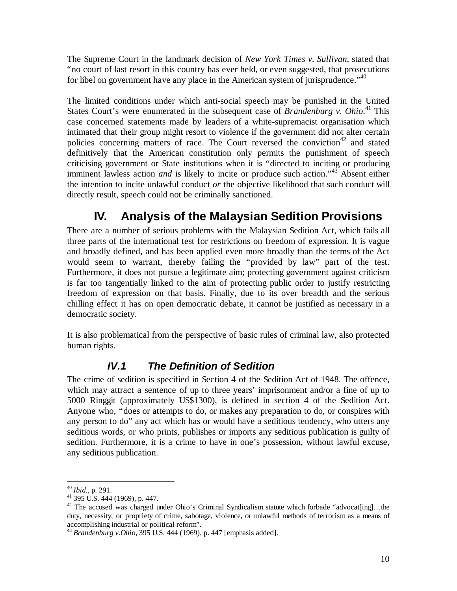The Supreme Court in the landmark decision of *New York Times v. Sullivan*, stated that "no court of last resort in this country has ever held, or even suggested, that prosecutions for libel on government have any place in the American system of jurisprudence."<sup>[40](#page-9-0)</sup>

The limited conditions under which anti-social speech may be punished in the United States Court's were enumerated in the subsequent case of *Brandenburg v. Ohio*.<sup>41</sup> This case concerned statements made by leaders of a white-supremacist organisation which intimated that their group might resort to violence if the government did not alter certain policies concerning matters of race. The Court reversed the conviction<sup>42</sup> and stated definitively that the American constitution only permits the punishment of speech criticising government or State institutions when it is "directed to inciting or producing imminent lawless action *and* is likely to incite or produce such action."<sup>43</sup> Absent either the intention to incite unlawful conduct *or* the objective likelihood that such conduct will directly result, speech could not be criminally sanctioned.

# **IV. Analysis of the Malaysian Sedition Provisions**

There are a number of serious problems with the Malaysian Sedition Act, which fails all three parts of the international test for restrictions on freedom of expression. It is vague and broadly defined, and has been applied even more broadly than the terms of the Act would seem to warrant, thereby failing the "provided by law" part of the test. Furthermore, it does not pursue a legitimate aim; protecting government against criticism is far too tangentially linked to the aim of protecting public order to justify restricting freedom of expression on that basis. Finally, due to its over breadth and the serious chilling effect it has on open democratic debate, it cannot be justified as necessary in a democratic society.

It is also problematical from the perspective of basic rules of criminal law, also protected human rights.

## *IV.1 The Definition of Sedition*

The crime of sedition is specified in Section 4 of the Sedition Act of 1948. The offence, which may attract a sentence of up to three years' imprisonment and/or a fine of up to 5000 Ringgit (approximately US\$1300), is defined in section 4 of the Sedition Act. Anyone who, "does or attempts to do, or makes any preparation to do, or conspires with any person to do" any act which has or would have a seditious tendency, who utters any seditious words, or who prints, publishes or imports any seditious publication is guilty of sedition. Furthermore, it is a crime to have in one's possession, without lawful excuse, any seditious publication.

<span id="page-9-0"></span><sup>&</sup>lt;sup>40</sup> Ibid., p. 291.

<span id="page-9-2"></span><span id="page-9-1"></span>

<sup>&</sup>lt;sup>41</sup> 395 U.S. 444 (1969), p. 447.<br><sup>42</sup> The accused was charged under Ohio's Criminal Syndicalism statute which forbade "advocat[ing]...the duty, necessity, or propriety of crime, sabotage, violence, or unlawful methods of terrorism as a means of accomplishing industrial or political reform".

<span id="page-9-3"></span> $43$  *Brandenburg v.Ohio*, 395 U.S. 444 (1969), p. 447 [emphasis added].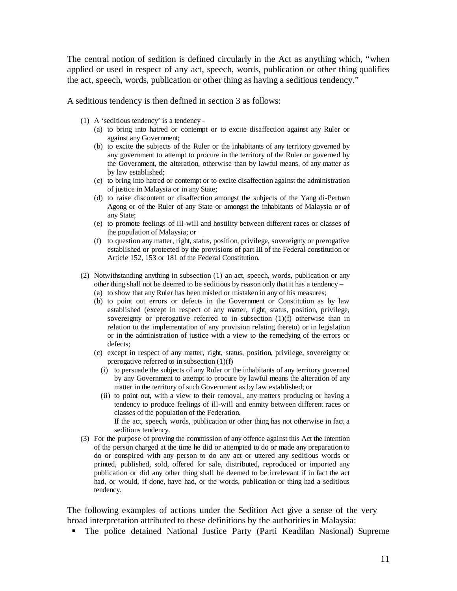The central notion of sedition is defined circularly in the Act as anything which, "when applied or used in respect of any act, speech, words, publication or other thing qualifies the act, speech, words, publication or other thing as having a seditious tendency."

A seditious tendency is then defined in section 3 as follows:

- (1) A 'seditious tendency' is a tendency
	- (a) to bring into hatred or contempt or to excite disaffection against any Ruler or against any Government;
	- (b) to excite the subjects of the Ruler or the inhabitants of any territory governed by any government to attempt to procure in the territory of the Ruler or governed by the Government, the alteration, otherwise than by lawful means, of any matter as by law established;
	- (c) to bring into hatred or contempt or to excite disaffection against the administration of justice in Malaysia or in any State;
	- (d) to raise discontent or disaffection amongst the subjects of the Yang di-Pertuan Agong or of the Ruler of any State or amongst the inhabitants of Malaysia or of any State;
	- (e) to promote feelings of ill-will and hostility between different races or classes of the population of Malaysia; or
	- (f) to question any matter, right, status, position, privilege, sovereignty or prerogative established or protected by the provisions of part III of the Federal constitution or Article 152, 153 or 181 of the Federal Constitution.
- (2) Notwithstanding anything in subsection (1) an act, speech, words, publication or any other thing shall not be deemed to be seditious by reason only that it has a tendency –
	- (a) to show that any Ruler has been misled or mistaken in any of his measures;
	- (b) to point out errors or defects in the Government or Constitution as by law established (except in respect of any matter, right, status, position, privilege, sovereignty or prerogative referred to in subsection (1)(f) otherwise than in relation to the implementation of any provision relating thereto) or in legislation or in the administration of justice with a view to the remedying of the errors or defects;
	- (c) except in respect of any matter, right, status, position, privilege, sovereignty or prerogative referred to in subsection  $(1)(f)$ 
		- (i) to persuade the subjects of any Ruler or the inhabitants of any territory governed by any Government to attempt to procure by lawful means the alteration of any matter in the territory of such Government as by law established; or
		- (ii) to point out, with a view to their removal, any matters producing or having a tendency to produce feelings of ill-will and enmity between different races or classes of the population of the Federation. If the act, speech, words, publication or other thing has not otherwise in fact a seditious tendency.
- (3) For the purpose of proving the commission of any offence against this Act the intention of the person charged at the time he did or attempted to do or made any preparation to do or conspired with any person to do any act or uttered any seditious words or printed, published, sold, offered for sale, distributed, reproduced or imported any publication or did any other thing shall be deemed to be irrelevant if in fact the act had, or would, if done, have had, or the words, publication or thing had a seditious tendency.

The following examples of actions under the Sedition Act give a sense of the very broad interpretation attributed to these definitions by the authorities in Malaysia:

The police detained National Justice Party (Parti Keadilan Nasional) Supreme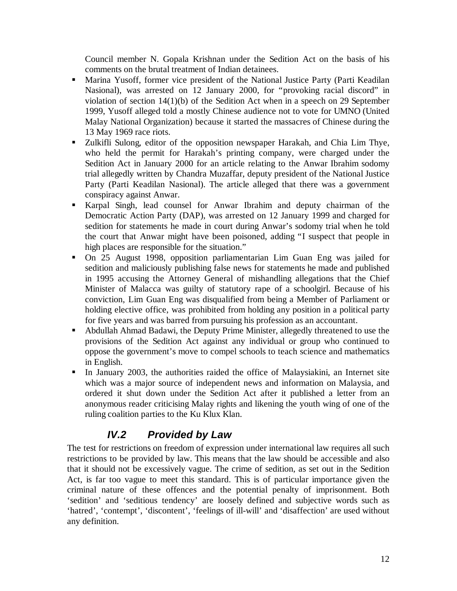Council member N. Gopala Krishnan under the Sedition Act on the basis of his comments on the brutal treatment of Indian detainees.

- Marina Yusoff, former vice president of the National Justice Party (Parti Keadilan Nasional), was arrested on 12 January 2000, for "provoking racial discord" in violation of section 14(1)(b) of the Sedition Act when in a speech on 29 September 1999, Yusoff alleged told a mostly Chinese audience not to vote for UMNO (United Malay National Organization) because it started the massacres of Chinese during the 13 May 1969 race riots.
- Zulkifli Sulong, editor of the opposition newspaper Harakah, and Chia Lim Thye, who held the permit for Harakah's printing company, were charged under the Sedition Act in January 2000 for an article relating to the Anwar Ibrahim sodomy trial allegedly written by Chandra Muzaffar, deputy president of the National Justice Party (Parti Keadilan Nasional). The article alleged that there was a government conspiracy against Anwar.
- Karpal Singh, lead counsel for Anwar Ibrahim and deputy chairman of the Democratic Action Party (DAP), was arrested on 12 January 1999 and charged for sedition for statements he made in court during Anwar's sodomy trial when he told the court that Anwar might have been poisoned, adding "I suspect that people in high places are responsible for the situation."
- On 25 August 1998, opposition parliamentarian Lim Guan Eng was jailed for sedition and maliciously publishing false news for statements he made and published in 1995 accusing the Attorney General of mishandling allegations that the Chief Minister of Malacca was guilty of statutory rape of a schoolgirl. Because of his conviction, Lim Guan Eng was disqualified from being a Member of Parliament or holding elective office, was prohibited from holding any position in a political party for five years and was barred from pursuing his profession as an accountant.
- Abdullah Ahmad Badawi, the Deputy Prime Minister, allegedly threatened to use the provisions of the Sedition Act against any individual or group who continued to oppose the government's move to compel schools to teach science and mathematics in English.
- In January 2003, the authorities raided the office of Malaysiakini, an Internet site which was a major source of independent news and information on Malaysia, and ordered it shut down under the Sedition Act after it published a letter from an anonymous reader criticising Malay rights and likening the youth wing of one of the ruling coalition parties to the Ku Klux Klan.

## *IV.2 Provided by Law*

The test for restrictions on freedom of expression under international law requires all such restrictions to be provided by law. This means that the law should be accessible and also that it should not be excessively vague. The crime of sedition, as set out in the Sedition Act, is far too vague to meet this standard. This is of particular importance given the criminal nature of these offences and the potential penalty of imprisonment. Both 'sedition' and 'seditious tendency' are loosely defined and subjective words such as 'hatred', 'contempt', 'discontent', 'feelings of ill-will' and 'disaffection' are used without any definition.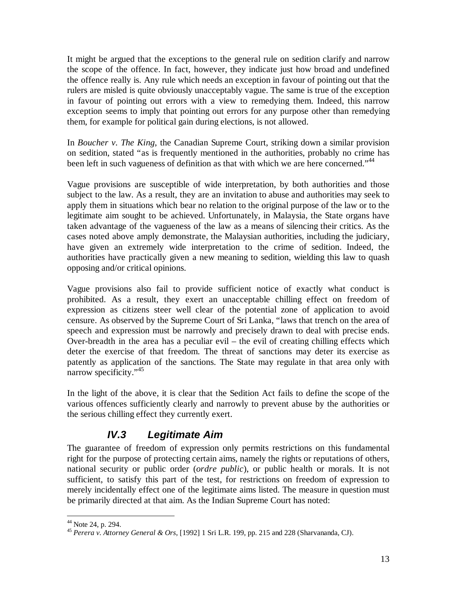It might be argued that the exceptions to the general rule on sedition clarify and narrow the scope of the offence. In fact, however, they indicate just how broad and undefined the offence really is. Any rule which needs an exception in favour of pointing out that the rulers are misled is quite obviously unacceptably vague. The same is true of the exception in favour of pointing out errors with a view to remedying them. Indeed, this narrow exception seems to imply that pointing out errors for any purpose other than remedying them, for example for political gain during elections, is not allowed.

In *Boucher v. The King*, the Canadian Supreme Court, striking down a similar provision on sedition, stated "as is frequently mentioned in the authorities, probably no crime has been left in such vagueness of definition as that with which we are here concerned."<sup>[44](#page-12-0)</sup>

Vague provisions are susceptible of wide interpretation, by both authorities and those subject to the law. As a result, they are an invitation to abuse and authorities may seek to apply them in situations which bear no relation to the original purpose of the law or to the legitimate aim sought to be achieved. Unfortunately, in Malaysia, the State organs have taken advantage of the vagueness of the law as a means of silencing their critics. As the cases noted above amply demonstrate, the Malaysian authorities, including the judiciary, have given an extremely wide interpretation to the crime of sedition. Indeed, the authorities have practically given a new meaning to sedition, wielding this law to quash opposing and/or critical opinions.

Vague provisions also fail to provide sufficient notice of exactly what conduct is prohibited. As a result, they exert an unacceptable chilling effect on freedom of expression as citizens steer well clear of the potential zone of application to avoid censure. As observed by the Supreme Court of Sri Lanka, "laws that trench on the area of speech and expression must be narrowly and precisely drawn to deal with precise ends. Over-breadth in the area has a peculiar evil – the evil of creating chilling effects which deter the exercise of that freedom. The threat of sanctions may deter its exercise as patently as application of the sanctions. The State may regulate in that area only with narrow specificity."<sup>[45](#page-12-1)</sup>

In the light of the above, it is clear that the Sedition Act fails to define the scope of the various offences sufficiently clearly and narrowly to prevent abuse by the authorities or the serious chilling effect they currently exert.

## *IV.3 Legitimate Aim*

The guarantee of freedom of expression only permits restrictions on this fundamental right for the purpose of protecting certain aims, namely the rights or reputations of others, national security or public order (*ordre public*), or public health or morals. It is not sufficient, to satisfy this part of the test, for restrictions on freedom of expression to merely incidentally effect one of the legitimate aims listed. The measure in question must be primarily directed at that aim. As the Indian Supreme Court has noted:

<span id="page-12-0"></span> $44$  Note 24, p. 294.

<span id="page-12-1"></span><sup>&</sup>lt;sup>45</sup> Perera v. Attorney General & Ors, [1992] 1 Sri L.R. 199, pp. 215 and 228 (Sharvananda, CJ).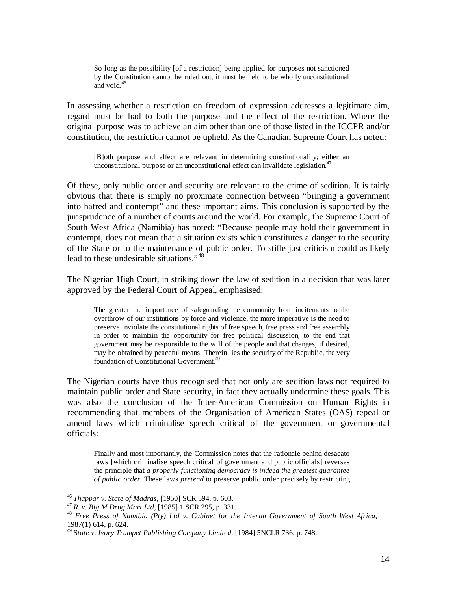So long as the possibility [of a restriction] being applied for purposes not sanctioned by the Constitution cannot be ruled out, it must be held to be wholly unconstitutional and void  $46$ 

In assessing whether a restriction on freedom of expression addresses a legitimate aim, regard must be had to both the purpose and the effect of the restriction. Where the original purpose was to achieve an aim other than one of those listed in the ICCPR and/or constitution, the restriction cannot be upheld. As the Canadian Supreme Court has noted:

[B]oth purpose and effect are relevant in determining constitutionality; either an unconstitutional purpose or an unconstitutional effect can invalidate legislation. [47](#page-13-1)

Of these, only public order and security are relevant to the crime of sedition. It is fairly obvious that there is simply no proximate connection between "bringing a government into hatred and contempt" and these important aims. This conclusion is supported by the jurisprudence of a number of courts around the world. For example, the Supreme Court of South West Africa (Namibia) has noted: "Because people may hold their government in contempt, does not mean that a situation exists which constitutes a danger to the security of the State or to the maintenance of public order. To stifle just criticism could as likely lead to these undesirable situations."<sup>48</sup>

The Nigerian High Court, in striking down the law of sedition in a decision that was later approved by the Federal Court of Appeal, emphasised:

The greater the importance of safeguarding the community from incitements to the overthrow of our institutions by force and violence, the more imperative is the need to preserve inviolate the constitutional rights of free speech, free press and free assembly in order to maintain the opportunity for free political discussion, to the end that government may be responsible to the will of the people and that changes, if desired, may be obtained by peaceful means. Therein lies the security of the Republic, the very foundation of Constitutional Government. [49](#page-13-3) 

The Nigerian courts have thus recognised that not only are sedition laws not required to maintain public order and State security, in fact they actually undermine these goals. This was also the conclusion of the Inter-American Commission on Human Rights in recommending that members of the Organisation of American States (OAS) repeal or amend laws which criminalise speech critical of the government or governmental officials:

Finally and most importantly, the Commission notes that the rationale behind desacato laws [which criminalise speech critical of government and public officials] reverses the principle that *a properly functioning democracy is indeed the greatest guarantee of public order*. These laws *pretend* to preserve public order precisely by restricting

<span id="page-13-0"></span><sup>&</sup>lt;sup>46</sup> Thappar v. State of Madras, [1950] SCR 594, p. 603.

<span id="page-13-2"></span><span id="page-13-1"></span>

<sup>&</sup>lt;sup>47</sup> R. v. Big M Drug Mart Ltd, [1985] 1 SCR 295, p. 331.<br><sup>48</sup> Free Press of Namibia (Pty) Ltd v. Cabinet for the Interim Government of South West Africa, 1987(1) 614, p. 624.

<span id="page-13-3"></span><sup>49</sup> S*tate v. Ivory Trumpet Publishing Company Limited*, [1984] 5NCLR 736, p. 748.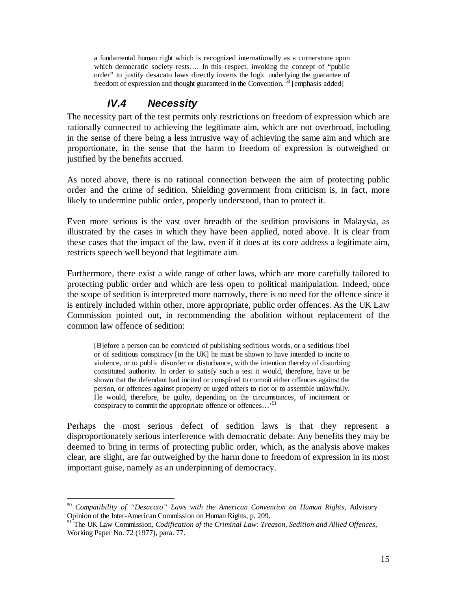a fundamental human right which is recognized internationally as a cornerstone upon which democratic society rests.... In this respect, invoking the concept of "public" order" to justify desacato laws directly inverts the logic underlying the guarantee of freedom of expression and thought guaranteed in the Convention.<sup>50</sup> [emphasis added]

### *IV.4 Necessity*

The necessity part of the test permits only restrictions on freedom of expression which are rationally connected to achieving the legitimate aim, which are not overbroad, including in the sense of there being a less intrusive way of achieving the same aim and which are proportionate, in the sense that the harm to freedom of expression is outweighed or justified by the benefits accrued.

As noted above, there is no rational connection between the aim of protecting public order and the crime of sedition. Shielding government from criticism is, in fact, more likely to undermine public order, properly understood, than to protect it.

Even more serious is the vast over breadth of the sedition provisions in Malaysia, as illustrated by the cases in which they have been applied, noted above. It is clear from these cases that the impact of the law, even if it does at its core address a legitimate aim, restricts speech well beyond that legitimate aim.

Furthermore, there exist a wide range of other laws, which are more carefully tailored to protecting public order and which are less open to political manipulation. Indeed, once the scope of sedition is interpreted more narrowly, there is no need for the offence since it is entirely included within other, more appropriate, public order offences. As the UK Law Commission pointed out, in recommending the abolition without replacement of the common law offence of sedition:

[B]efore a person can be convicted of publishing seditious words, or a seditious libel or of seditious conspiracy [in the UK] he must be shown to have intended to incite to violence, or to public disorder or disturbance, with the intention thereby of disturbing constituted authority. In order to satisfy such a test it would, therefore, have to be shown that the defendant had incited or conspired to commit either offences against the person, or offences against property or urged others to riot or to assemble unlawfully. He would, therefore, be guilty, depending on the circumstances, of incitement or conspiracy to commit the appropriate offence or offences...'<sup>[51](#page-14-1)</sup>

Perhaps the most serious defect of sedition laws is that they represent a disproportionately serious interference with democratic debate. Any benefits they may be deemed to bring in terms of protecting public order, which, as the analysis above makes clear, are slight, are far outweighed by the harm done to freedom of expression in its most important guise, namely as an underpinning of democracy.

<span id="page-14-0"></span><sup>50</sup> *Compatibility of "Desacato" Laws with the American Convention on Human Rights*, Advisory

<span id="page-14-1"></span><sup>&</sup>lt;sup>51</sup> The UK Law Commission, *Codification of the Criminal Law: Treason, Sedition and Allied Offences,* Working Paper No. 72 (1977), para. 77.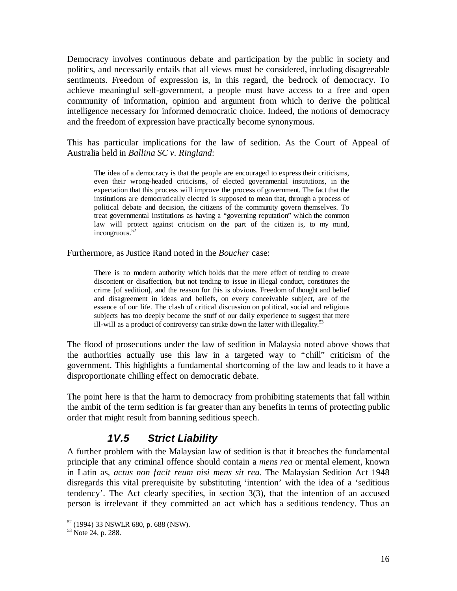Democracy involves continuous debate and participation by the public in society and politics, and necessarily entails that all views must be considered, including disagreeable sentiments. Freedom of expression is, in this regard, the bedrock of democracy. To achieve meaningful self-government, a people must have access to a free and open community of information, opinion and argument from which to derive the political intelligence necessary for informed democratic choice. Indeed, the notions of democracy and the freedom of expression have practically become synonymous.

This has particular implications for the law of sedition. As the Court of Appeal of Australia held in *Ballina SC v. Ringland*:

The idea of a democracy is that the people are encouraged to express their criticisms, even their wrong-headed criticisms, of elected governmental institutions, in the expectation that this process will improve the process of government. The fact that the institutions are democratically elected is supposed to mean that, through a process of political debate and decision, the citizens of the community govern themselves. To treat governmental institutions as having a "governing reputation" which the common law will protect against criticism on the part of the citizen is, to my mind, incongruous. [52](#page-15-0)

Furthermore, as Justice Rand noted in the *Boucher* case:

There is no modern authority which holds that the mere effect of tending to create discontent or disaffection, but not tending to issue in illegal conduct, constitutes the crime [of sedition], and the reason for this is obvious. Freedom of thought and belief and disagreement in ideas and beliefs, on every conceivable subject, are of the essence of our life. The clash of critical discussion on political, social and religious subjects has too deeply become the stuff of our daily experience to suggest that mere ill-will as a product of controversy can strike down the latter with illegality.<sup>[53](#page-15-1)</sup>

The flood of prosecutions under the law of sedition in Malaysia noted above shows that the authorities actually use this law in a targeted way to "chill" criticism of the government. This highlights a fundamental shortcoming of the law and leads to it have a disproportionate chilling effect on democratic debate.

The point here is that the harm to democracy from prohibiting statements that fall within the ambit of the term sedition is far greater than any benefits in terms of protecting public order that might result from banning seditious speech.

## *1V.5 Strict Liability*

A further problem with the Malaysian law of sedition is that it breaches the fundamental principle that any criminal offence should contain a *mens rea* or mental element, known in Latin as, *actus non facit reum nisi mens sit rea*. The Malaysian Sedition Act 1948 disregards this vital prerequisite by substituting 'intention' with the idea of a 'seditious tendency'. The Act clearly specifies, in section 3(3), that the intention of an accused person is irrelevant if they committed an act which has a seditious tendency. Thus an

<span id="page-15-0"></span> $^{52}$  (1994) 33 NSWLR 680, p. 688 (NSW).<br> $^{53}$  Note 24, p. 288.

<span id="page-15-1"></span>